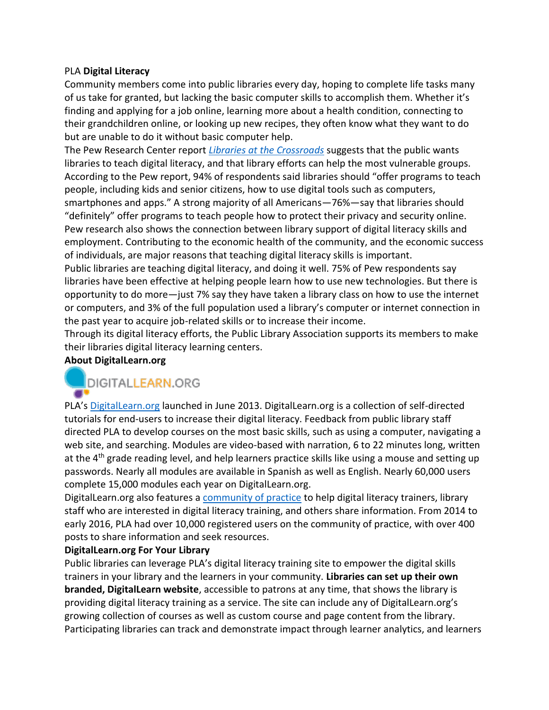#### PLA **Digital Literacy**

Community members come into public libraries every day, hoping to complete life tasks many of us take for granted, but lacking the basic computer skills to accomplish them. Whether it's finding and applying for a job online, learning more about a health condition, connecting to their grandchildren online, or looking up new recipes, they often know what they want to do but are unable to do it without basic computer help.

The Pew Research Center report *[Libraries at the Crossroads](http://www.pewinternet.org/2015/09/15/libraries-at-the-crossroads/)* suggests that the public wants libraries to teach digital literacy, and that library efforts can help the most vulnerable groups. According to the Pew report, 94% of respondents said libraries should "offer programs to teach people, including kids and senior citizens, how to use digital tools such as computers, smartphones and apps." A strong majority of all Americans—76%—say that libraries should "definitely" offer programs to teach people how to protect their privacy and security online. Pew research also shows the connection between library support of digital literacy skills and employment. Contributing to the economic health of the community, and the economic success of individuals, are major reasons that teaching digital literacy skills is important.

Public libraries are teaching digital literacy, and doing it well. 75% of Pew respondents say libraries have been effective at helping people learn how to use new technologies. But there is opportunity to do more—just 7% say they have taken a library class on how to use the internet or computers, and 3% of the full population used a library's computer or internet connection in the past year to acquire job-related skills or to increase their income.

Through its digital literacy efforts, the Public Library Association supports its members to make their libraries digital literacy learning centers.

## **About DigitalLearn.org**

# DIGITALLEARN.ORG

PLA's [DigitalLearn.org](https://www.digitallearn.org/) launched in June 2013. DigitalLearn.org is a collection of self-directed tutorials for end-users to increase their digital literacy. Feedback from public library staff directed PLA to develop courses on the most basic skills, such as using a computer, navigating a web site, and searching. Modules are video-based with narration, 6 to 22 minutes long, written at the 4<sup>th</sup> grade reading level, and help learners practice skills like using a mouse and setting up passwords. Nearly all modules are available in Spanish as well as English. Nearly 60,000 users complete 15,000 modules each year on DigitalLearn.org.

DigitalLearn.org also features a [community of practice](http://community.digitallearn.org/) to help digital literacy trainers, library staff who are interested in digital literacy training, and others share information. From 2014 to early 2016, PLA had over 10,000 registered users on the community of practice, with over 400 posts to share information and seek resources.

## **DigitalLearn.org For Your Library**

Public libraries can leverage PLA's digital literacy training site to empower the digital skills trainers in your library and the learners in your community. **Libraries can set up their own branded, DigitalLearn website**, accessible to patrons at any time, that shows the library is providing digital literacy training as a service. The site can include any of DigitalLearn.org's growing collection of courses as well as custom course and page content from the library. Participating libraries can track and demonstrate impact through learner analytics, and learners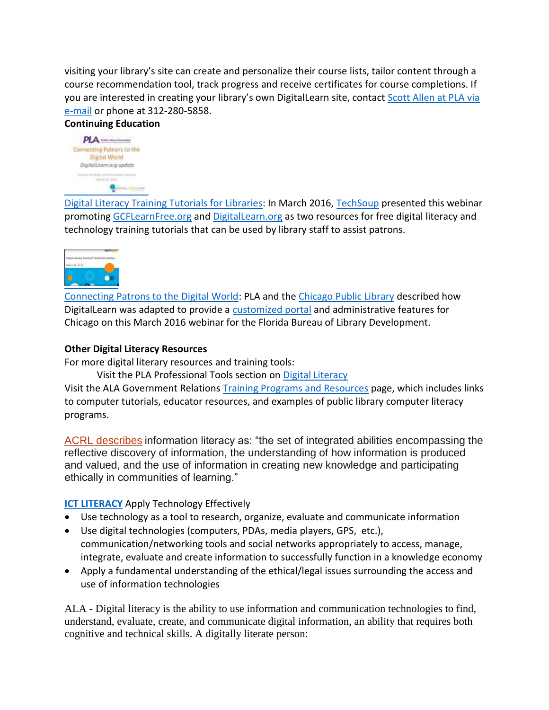visiting your library's site can create and personalize their course lists, tailor content through a course recommendation tool, track progress and receive certificates for course completions. If you are interested in creating your library's own DigitalLearn site, contact [Scott Allen at PLA via](mailto:sallen@ala.org?subject=Interest%20in%20DigitalLearn.org)  [e-mail](mailto:sallen@ala.org?subject=Interest%20in%20DigitalLearn.org) or phone at 312-280-5858.

## **Continuing Education**



[Digital Literacy Training Tutorials for Libraries:](https://cc.readytalk.com/cc/s/registrations/new?cid=o9yl4kg4ki6y) In March 2016, [TechSoup](http://www.techsoup.org/) presented this webinar promoting [GCFLearnFree.org](http://www.gcflearnfree.org/) and [DigitalLearn.org](https://www.digitallearn.org/) as two resources for free digital literacy and technology training tutorials that can be used by library staff to assist patrons.



[Connecting Patrons to the Digital World:](https://www.youtube.com/watch?v=23Ii1EV5Z5Y) PLA and the [Chicago Public Library](http://www.chipublib.org/) described how DigitalLearn was adapted to provide a [customized portal](https://chipublib.digitallearn.org/) and administrative features for Chicago on this March 2016 webinar for the Florida Bureau of Library Development.

#### **Other Digital Literacy Resources**

For more digital literary resources and training tools:

Visit the PLA Professional Tools section on [Digital Literacy](http://www.ala.org/pla/tools/programming-instruction/digital-literacy)

Visit the ALA Government Relations [Training Programs and Resources](http://www.ala.org/advocacy/advleg/federallegislation/govinfo/egovernment/egovtoolkit/training) page, which includes links to computer tutorials, educator resources, and examples of public library computer literacy programs.

[ACRL describes](http://www.ala.org/acrl/standards/ilframework) information literacy as: "the set of integrated abilities encompassing the reflective discovery of information, the understanding of how information is produced and valued, and the use of information in creating new knowledge and participating ethically in communities of learning."

## **[ICT LITERACY](http://www.p21.org/about-us/p21-framework/350-ict-literacy)** Apply Technology Effectively

- Use technology as a tool to research, organize, evaluate and communicate information
- Use digital technologies (computers, PDAs, media players, GPS, etc.), communication/networking tools and social networks appropriately to access, manage, integrate, evaluate and create information to successfully function in a knowledge economy
- Apply a fundamental understanding of the ethical/legal issues surrounding the access and use of information technologies

ALA - Digital literacy is the ability to use information and communication technologies to find, understand, evaluate, create, and communicate digital information, an ability that requires both cognitive and technical skills. A digitally literate person: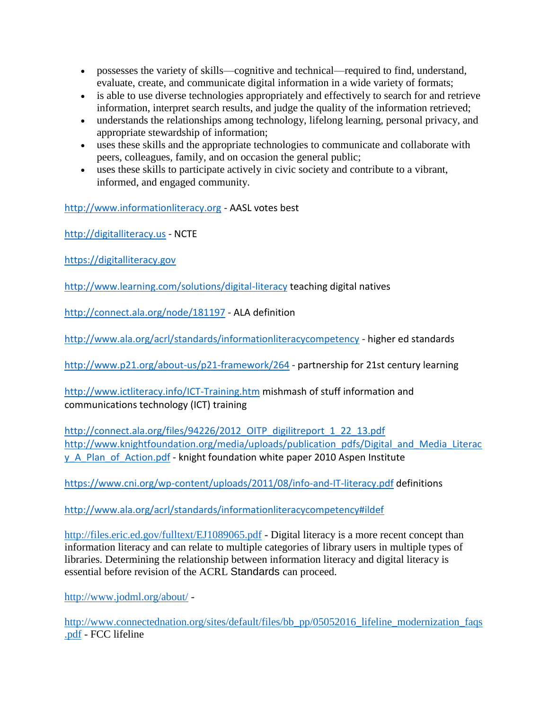- possesses the variety of skills—cognitive and technical—required to find, understand, evaluate, create, and communicate digital information in a wide variety of formats;
- is able to use diverse technologies appropriately and effectively to search for and retrieve information, interpret search results, and judge the quality of the information retrieved;
- understands the relationships among technology, lifelong learning, personal privacy, and appropriate stewardship of information;
- uses these skills and the appropriate technologies to communicate and collaborate with peers, colleagues, family, and on occasion the general public;
- uses these skills to participate actively in civic society and contribute to a vibrant, informed, and engaged community.

[http://www.informationliteracy.org](http://www.informationliteracy.org/) - AASL votes best

[http://digitalliteracy.us](http://digitalliteracy.us/) - NCTE

[https://digitalliteracy.gov](https://digitalliteracy.gov/)

<http://www.learning.com/solutions/digital-literacy> teaching digital natives

<http://connect.ala.org/node/181197> - ALA definition

<http://www.ala.org/acrl/standards/informationliteracycompetency> - higher ed standards

<http://www.p21.org/about-us/p21-framework/264> - partnership for 21st century learning

<http://www.ictliteracy.info/ICT-Training.htm> mishmash of stuff information and communications technology (ICT) training

[http://connect.ala.org/files/94226/2012\\_OITP\\_digilitreport\\_1\\_22\\_13.pdf](http://connect.ala.org/files/94226/2012_OITP_digilitreport_1_22_13.pdf) [http://www.knightfoundation.org/media/uploads/publication\\_pdfs/Digital\\_and\\_Media\\_Literac](http://www.knightfoundation.org/media/uploads/publication_pdfs/Digital_and_Media_Literacy_A_Plan_of_Action.pdf) y A Plan\_of\_Action.pdf - knight foundation white paper 2010 Aspen Institute

<https://www.cni.org/wp-content/uploads/2011/08/info-and-IT-literacy.pdf> definitions

<http://www.ala.org/acrl/standards/informationliteracycompetency#ildef>

<http://files.eric.ed.gov/fulltext/EJ1089065.pdf> - Digital literacy is a more recent concept than information literacy and can relate to multiple categories of library users in multiple types of libraries. Determining the relationship between information literacy and digital literacy is essential before revision of the ACRL Standards can proceed.

<http://www.jodml.org/about/> -

[http://www.connectednation.org/sites/default/files/bb\\_pp/05052016\\_lifeline\\_modernization\\_faqs](http://www.connectednation.org/sites/default/files/bb_pp/05052016_lifeline_modernization_faqs.pdf) [.pdf](http://www.connectednation.org/sites/default/files/bb_pp/05052016_lifeline_modernization_faqs.pdf) - FCC lifeline